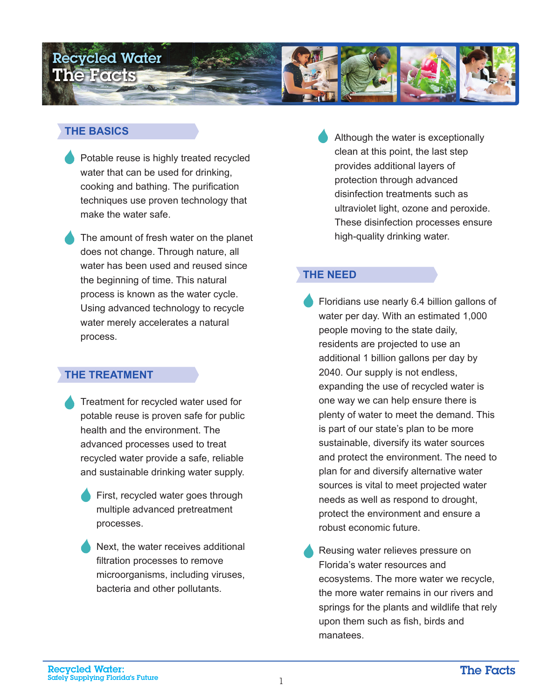

### **THE BASICS**

Potable reuse is highly treated recycled water that can be used for drinking, cooking and bathing. The purification techniques use proven technology that make the water safe.

The amount of fresh water on the planet does not change. Through nature, all water has been used and reused since the beginning of time. This natural process is known as the water cycle. Using advanced technology to recycle water merely accelerates a natural process.

### **THE TREATMENT**

- Treatment for recycled water used for potable reuse is proven safe for public health and the environment. The advanced processes used to treat recycled water provide a safe, reliable and sustainable drinking water supply.
	- First, recycled water goes through multiple advanced pretreatment processes.
	- Next, the water receives additional filtration processes to remove microorganisms, including viruses, bacteria and other pollutants.

Although the water is exceptionally clean at this point, the last step provides additional layers of protection through advanced disinfection treatments such as ultraviolet light, ozone and peroxide. These disinfection processes ensure high-quality drinking water.

# **THE NEED**

- Floridians use nearly 6.4 billion gallons of water per day. With an estimated 1,000 people moving to the state daily, residents are projected to use an additional 1 billion gallons per day by 2040. Our supply is not endless, expanding the use of recycled water is one way we can help ensure there is plenty of water to meet the demand. This is part of our state's plan to be more sustainable, diversify its water sources and protect the environment. The need to plan for and diversify alternative water sources is vital to meet projected water needs as well as respond to drought, protect the environment and ensure a robust economic future.
- Reusing water relieves pressure on Florida's water resources and ecosystems. The more water we recycle, the more water remains in our rivers and springs for the plants and wildlife that rely upon them such as fish, birds and manatees.